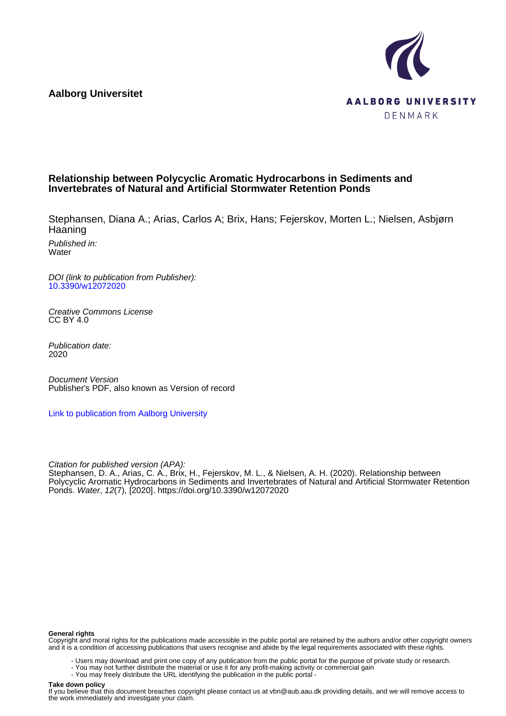**Aalborg Universitet**



# **Relationship between Polycyclic Aromatic Hydrocarbons in Sediments and Invertebrates of Natural and Artificial Stormwater Retention Ponds**

Stephansen, Diana A.; Arias, Carlos A; Brix, Hans; Fejerskov, Morten L.; Nielsen, Asbjørn Haaning

Published in: **Water** 

DOI (link to publication from Publisher): [10.3390/w12072020](https://doi.org/10.3390/w12072020)

Creative Commons License CC BY 4.0

Publication date: 2020

Document Version Publisher's PDF, also known as Version of record

[Link to publication from Aalborg University](https://vbn.aau.dk/en/publications/4ab77076-d952-4ab4-9129-fbf69f072dda)

Citation for published version (APA): Stephansen, D. A., Arias, C. A., Brix, H., Fejerskov, M. L., & Nielsen, A. H. (2020). Relationship between Polycyclic Aromatic Hydrocarbons in Sediments and Invertebrates of Natural and Artificial Stormwater Retention Ponds. Water, 12(7), [2020].<https://doi.org/10.3390/w12072020>

#### **General rights**

Copyright and moral rights for the publications made accessible in the public portal are retained by the authors and/or other copyright owners and it is a condition of accessing publications that users recognise and abide by the legal requirements associated with these rights.

- Users may download and print one copy of any publication from the public portal for the purpose of private study or research.
- You may not further distribute the material or use it for any profit-making activity or commercial gain
- You may freely distribute the URL identifying the publication in the public portal -

#### **Take down policy**

If you believe that this document breaches copyright please contact us at vbn@aub.aau.dk providing details, and we will remove access to the work immediately and investigate your claim.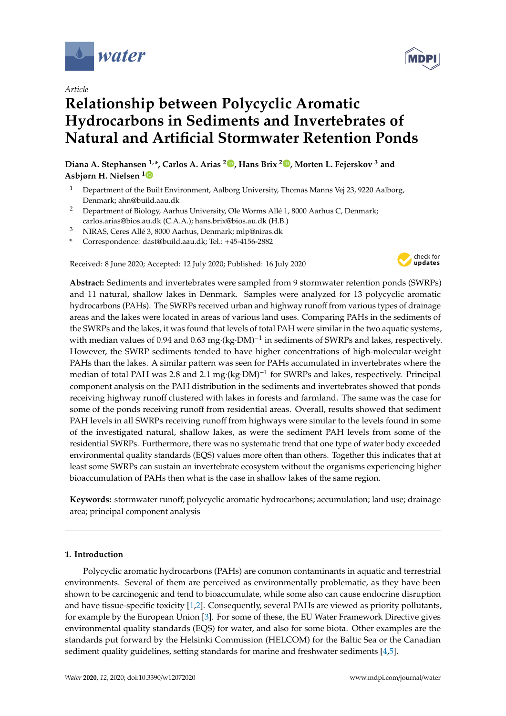

*Article*

# **Relationship between Polycyclic Aromatic Hydrocarbons in Sediments and Invertebrates of Natural and Artificial Stormwater Retention Ponds**

**Diana A. Stephansen 1,\*, Carlos A. Arias <sup>2</sup> [,](https://orcid.org/0000-0002-6628-7564) Hans Brix <sup>2</sup> [,](https://orcid.org/0000-0003-2771-2983) Morten L. Fejerskov <sup>3</sup> and Asbjørn H. Nielsen [1](https://orcid.org/0000-0003-4464-8549)**

- <sup>1</sup> Department of the Built Environment, Aalborg University, Thomas Manns Vej 23, 9220 Aalborg, Denmark; ahn@build.aau.dk
- <sup>2</sup> Department of Biology, Aarhus University, Ole Worms Allé 1, 8000 Aarhus C, Denmark; carlos.arias@bios.au.dk (C.A.A.); hans.brix@bios.au.dk (H.B.)
- <sup>3</sup> NIRAS, Ceres Allé 3, 8000 Aarhus, Denmark; mlp@niras.dk
- **\*** Correspondence: dast@build.aau.dk; Tel.: +45-4156-2882

Received: 8 June 2020; Accepted: 12 July 2020; Published: 16 July 2020



**Abstract:** Sediments and invertebrates were sampled from 9 stormwater retention ponds (SWRPs) and 11 natural, shallow lakes in Denmark. Samples were analyzed for 13 polycyclic aromatic hydrocarbons (PAHs). The SWRPs received urban and highway runoff from various types of drainage areas and the lakes were located in areas of various land uses. Comparing PAHs in the sediments of the SWRPs and the lakes, it was found that levels of total PAH were similar in the two aquatic systems, with median values of 0.94 and 0.63 mg·(kg·DM)<sup>-1</sup> in sediments of SWRPs and lakes, respectively. However, the SWRP sediments tended to have higher concentrations of high-molecular-weight PAHs than the lakes. A similar pattern was seen for PAHs accumulated in invertebrates where the median of total PAH was 2.8 and 2.1 mg·(kg·DM)<sup>-1</sup> for SWRPs and lakes, respectively. Principal component analysis on the PAH distribution in the sediments and invertebrates showed that ponds receiving highway runoff clustered with lakes in forests and farmland. The same was the case for some of the ponds receiving runoff from residential areas. Overall, results showed that sediment PAH levels in all SWRPs receiving runoff from highways were similar to the levels found in some of the investigated natural, shallow lakes, as were the sediment PAH levels from some of the residential SWRPs. Furthermore, there was no systematic trend that one type of water body exceeded environmental quality standards (EQS) values more often than others. Together this indicates that at least some SWRPs can sustain an invertebrate ecosystem without the organisms experiencing higher bioaccumulation of PAHs then what is the case in shallow lakes of the same region.

**Keywords:** stormwater runoff; polycyclic aromatic hydrocarbons; accumulation; land use; drainage area; principal component analysis

# **1. Introduction**

Polycyclic aromatic hydrocarbons (PAHs) are common contaminants in aquatic and terrestrial environments. Several of them are perceived as environmentally problematic, as they have been shown to be carcinogenic and tend to bioaccumulate, while some also can cause endocrine disruption and have tissue-specific toxicity [\[1,](#page-12-0)[2\]](#page-12-1). Consequently, several PAHs are viewed as priority pollutants, for example by the European Union [\[3\]](#page-12-2). For some of these, the EU Water Framework Directive gives environmental quality standards (EQS) for water, and also for some biota. Other examples are the standards put forward by the Helsinki Commission (HELCOM) for the Baltic Sea or the Canadian sediment quality guidelines, setting standards for marine and freshwater sediments [\[4,](#page-13-0)[5\]](#page-13-1).

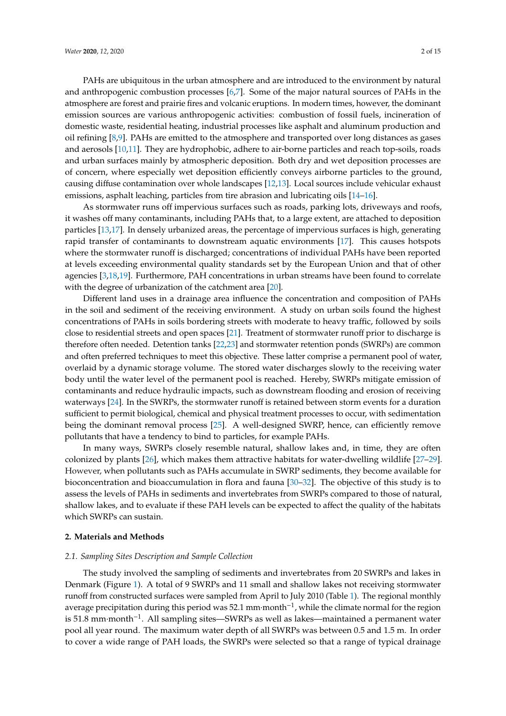PAHs are ubiquitous in the urban atmosphere and are introduced to the environment by natural and anthropogenic combustion processes [\[6,](#page-13-2)[7\]](#page-13-3). Some of the major natural sources of PAHs in the atmosphere are forest and prairie fires and volcanic eruptions. In modern times, however, the dominant emission sources are various anthropogenic activities: combustion of fossil fuels, incineration of domestic waste, residential heating, industrial processes like asphalt and aluminum production and oil refining [\[8,](#page-13-4)[9\]](#page-13-5). PAHs are emitted to the atmosphere and transported over long distances as gases and aerosols [\[10,](#page-13-6)[11\]](#page-13-7). They are hydrophobic, adhere to air-borne particles and reach top-soils, roads and urban surfaces mainly by atmospheric deposition. Both dry and wet deposition processes are of concern, where especially wet deposition efficiently conveys airborne particles to the ground, causing diffuse contamination over whole landscapes [\[12](#page-13-8)[,13\]](#page-13-9). Local sources include vehicular exhaust emissions, asphalt leaching, particles from tire abrasion and lubricating oils [\[14–](#page-13-10)[16\]](#page-13-11).

As stormwater runs off impervious surfaces such as roads, parking lots, driveways and roofs, it washes off many contaminants, including PAHs that, to a large extent, are attached to deposition particles [\[13,](#page-13-9)[17\]](#page-13-12). In densely urbanized areas, the percentage of impervious surfaces is high, generating rapid transfer of contaminants to downstream aquatic environments [\[17\]](#page-13-12). This causes hotspots where the stormwater runoff is discharged; concentrations of individual PAHs have been reported at levels exceeding environmental quality standards set by the European Union and that of other agencies [\[3](#page-12-2)[,18](#page-13-13)[,19\]](#page-13-14). Furthermore, PAH concentrations in urban streams have been found to correlate with the degree of urbanization of the catchment area [\[20\]](#page-13-15).

Different land uses in a drainage area influence the concentration and composition of PAHs in the soil and sediment of the receiving environment. A study on urban soils found the highest concentrations of PAHs in soils bordering streets with moderate to heavy traffic, followed by soils close to residential streets and open spaces [\[21\]](#page-13-16). Treatment of stormwater runoff prior to discharge is therefore often needed. Detention tanks [\[22](#page-13-17)[,23\]](#page-13-18) and stormwater retention ponds (SWRPs) are common and often preferred techniques to meet this objective. These latter comprise a permanent pool of water, overlaid by a dynamic storage volume. The stored water discharges slowly to the receiving water body until the water level of the permanent pool is reached. Hereby, SWRPs mitigate emission of contaminants and reduce hydraulic impacts, such as downstream flooding and erosion of receiving waterways [\[24\]](#page-13-19). In the SWRPs, the stormwater runoff is retained between storm events for a duration sufficient to permit biological, chemical and physical treatment processes to occur, with sedimentation being the dominant removal process [\[25\]](#page-13-20). A well-designed SWRP, hence, can efficiently remove pollutants that have a tendency to bind to particles, for example PAHs.

In many ways, SWRPs closely resemble natural, shallow lakes and, in time, they are often colonized by plants [\[26\]](#page-14-0), which makes them attractive habitats for water-dwelling wildlife [\[27–](#page-14-1)[29\]](#page-14-2). However, when pollutants such as PAHs accumulate in SWRP sediments, they become available for bioconcentration and bioaccumulation in flora and fauna [\[30](#page-14-3)[–32\]](#page-14-4). The objective of this study is to assess the levels of PAHs in sediments and invertebrates from SWRPs compared to those of natural, shallow lakes, and to evaluate if these PAH levels can be expected to affect the quality of the habitats which SWRPs can sustain.

# **2. Materials and Methods**

# *2.1. Sampling Sites Description and Sample Collection*

The study involved the sampling of sediments and invertebrates from 20 SWRPs and lakes in Denmark (Figure [1\)](#page-3-0). A total of 9 SWRPs and 11 small and shallow lakes not receiving stormwater runoff from constructed surfaces were sampled from April to July 2010 (Table [1\)](#page-4-0). The regional monthly average precipitation during this period was 52.1 mm·month−<sup>1</sup> , while the climate normal for the region is 51.8 mm·month−<sup>1</sup> . All sampling sites—SWRPs as well as lakes—maintained a permanent water pool all year round. The maximum water depth of all SWRPs was between 0.5 and 1.5 m. In order to cover a wide range of PAH loads, the SWRPs were selected so that a range of typical drainage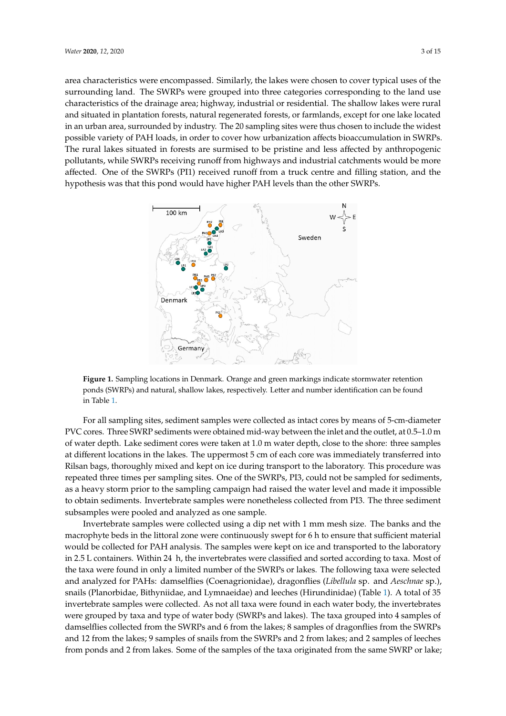area characteristics were encompassed. Similarly, the lakes were chosen to cover typical uses of the surrounding land. The SWRPs were grouped into three categories corresponding to the land use surrounding land. The SWRPs were grouped into three categories corresponding to the land use characteristics of the drainage area; highway, industrial or residential. The shallow lakes were rural characteristics of the drainage area; highway, industrial or residential. The shallow lakes were rural and situated in plantation forests, natural regenerated forests, or farmlands, except for one lake located and situated in plantation forests, natural regenerated forests, or farmlands, except for one lake in an urban area, surrounded by industry. The 20 sampling sites were thus chosen to include the widest possible variety of PAH loads, in order to cover how urbanization affects bioaccumulation in SWRPs. The rural lakes situated in forests are surmised to be pristine and less affected by anthropogenic pollutants, while SWRPs receiving runoff from highways and industrial catchments would be more affected. One of the SWRPs (PI1) received runoff from a truck centre and filling station, and the hypothesis was that this pond would have higher PAH levels than the other SWRPs.

<span id="page-3-0"></span>

**Figure 1.** Sampling locations in Denmark. Orange and green markings indicate stormwater retention **Figure 1.** Sampling locations in Denmark. Orange and green markings indicate stormwater retention ponds (SWRPs) and natural, shallow lakes, respectively. Letter and number identification can be ponds (SWRPs) and natural, shallow lakes, respectively. Letter and number identification can be found i[n T](#page-4-0)able 1.

For all sampling sites, sediment samples were collected as intact cores by means of 5-cm-diameter PVC cores. Three SWRP sediments were obtained mid-way between the inlet and the outlet, at 0.5–1.0 m of water depth. Lake sediment cores were taken at 1.0 m water depth, close to the shore: three samples at different locations in the lakes. The uppermost 5 cm of each core was immediately transferred into repeated three times per sampling sites. One of the SWRPs, PI3, could not be sampled for sediments, Rilsan bags, thoroughly mixed and kept on ice during transport to the laboratory. This procedure was as a heavy storm prior to the sampling campaign had raised the water level and made it impossible  $\sim$  0 obtain sediments. Invertebrate samples were nonetheless collected from PI3. The three sediments subsamples were pooled and analyzed as one sample. to obtain sediments. Invertebrate samples were nonetheless collected from PI3. The three sediment

macrophyte beds in the littoral zone were continuously swept for 6 h to ensure that sufficient material Invertebrate samples were collected using a dip net with 1 mm mesh size. The banks and the  $R_{2}$  for  $\text{PAH}$  and  $\text{Lip}$ . The convolve system leads on  $\mathbf{r}$  and there are onto details. would be collected for PAH analysis. The samples were kept on ice and transported to the laboratory in 2.5 L containers. Within 24  $\,$  h, the invertebrates were classified and sorted according to taxa. Most of and analyzed for PAHs: damselflies (Coenagrionidae), dragonflies (*Libellula* sp. and *Aeschnae* sp.), the taxa were found in only a limited number of the SWRPs or lakes. The following taxa were selected snails (Planorbidae, Bithyniidae, and Lymnaeidae) and leeches (Hirundinidae) (Table [1\)](#page-4-0). A total of 35  $\frac{1}{1}$   $\frac{1}{1}$   $\frac{1}{1}$   $\frac{1}{1}$   $\frac{1}{1}$   $\frac{1}{1}$   $\frac{1}{1}$   $\frac{1}{1}$   $\frac{1}{1}$   $\frac{1}{1}$   $\frac{1}{1}$   $\frac{1}{1}$   $\frac{1}{1}$   $\frac{1}{1}$   $\frac{1}{1}$   $\frac{1}{1}$   $\frac{1}{1}$   $\frac{1}{1}$   $\frac{1}{1}$   $\frac{1}{1}$   $\frac{1}{1}$   $\frac{1}{1}$  damselflies collected from the SWRPs and 6 from the lakes; 8 samples of dragonflies from the SWRPs invertebrate samples were collected. As not all taxa were found in each water body, the invertebrates were grouped by taxa and type of water body (SWRPs and lakes). The taxa grouped into 4 samples of and 12 from the lakes; 9 samples of snails from the SWRPs and 2 from lakes; and 2 samples of leeches from ponds and 2 from lakes. Some of the samples of the taxa originated from the same SWRP or lake;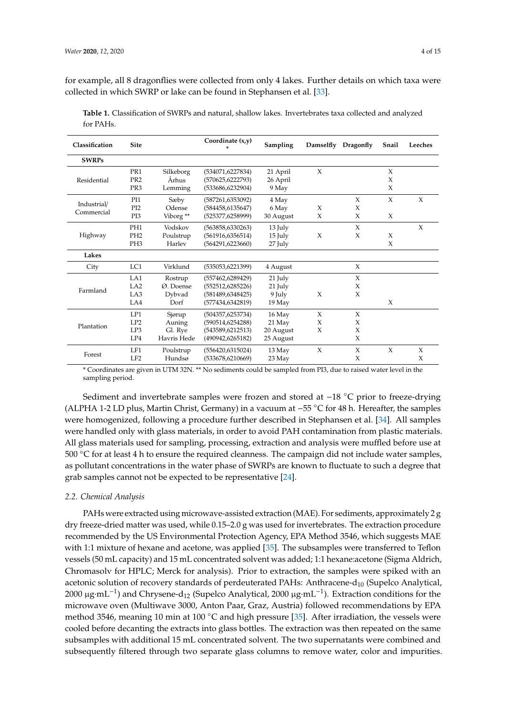for example, all 8 dragonflies were collected from only 4 lakes. Further details on which taxa were collected in which SWRP or lake can be found in Stephansen et al. [\[33\]](#page-14-5).

| Classification            | <b>Site</b>     |             | Coordinate $(x,y)$<br>* | Sampling  |        | Damselfly Dragonfly | Snail | Leeches |
|---------------------------|-----------------|-------------|-------------------------|-----------|--------|---------------------|-------|---------|
| <b>SWRPs</b>              |                 |             |                         |           |        |                     |       |         |
| Residential               | PR1             | Silkeborg   | (534071, 6227834)       | 21 April  | $\chi$ |                     | X     |         |
|                           | PR <sub>2</sub> | Århus       | (570625,6222793)        | 26 April  |        |                     | X     |         |
|                           | PR <sub>3</sub> | Lemming     | (533686, 6232904)       | 9 May     |        |                     | X     |         |
| Industrial/<br>Commercial | PI1             | Sæby        | (587261, 6353092)       | 4 May     |        | X                   | X     | X       |
|                           | PI <sub>2</sub> | Odense      | (584458,6135647)        | 6 May     | X      | X                   |       |         |
|                           | PI3             | Viborg **   | (525377,6258999)        | 30 August | X      | X                   | X     |         |
| Highway                   | PH <sub>1</sub> | Vodskov     | (563858,6330263)        | 13 July   |        | X                   |       | X       |
|                           | PH <sub>2</sub> | Poulstrup   | (561916, 6356514)       | 15 July   | $\chi$ | X                   | X     |         |
|                           | PH <sub>3</sub> | Harley      | (564291, 6223660)       | 27 July   |        |                     | X     |         |
| Lakes                     |                 |             |                         |           |        |                     |       |         |
| City                      | LC1             | Virklund    | (535053, 6221399)       | 4 August  |        | X                   |       |         |
| Farmland                  | LA1             | Rostrup     | (557462, 6289429)       | 21 July   |        | X                   |       |         |
|                           | LA <sub>2</sub> | Ø. Doense   | (552512, 6285226)       | 21 July   |        | X                   |       |         |
|                           | LA3             | Dybvad      | (581489, 6348425)       | 9 July    | X      | X                   |       |         |
|                           | LA4             | Dorf        | (577434, 6342819)       | $19$ May  |        |                     | X     |         |
| Plantation                | LP1             | Sjørup      | (504357, 6253734)       | 16 May    | $\chi$ | X                   |       |         |
|                           | LP2             | Auning      | (590514,6254288)        | 21 May    | X      | X                   |       |         |
|                           | LP3             | Gl. Rye     | (543589, 6212513)       | 20 August | $\chi$ | X                   |       |         |
|                           | LP4             | Havris Hede | (490942,6265182)        | 25 August |        | X                   |       |         |
| Forest                    | LF1             | Poulstrup   | (556420,6315024)        | 13 May    | X      | X                   | X     | X       |
|                           | LF <sub>2</sub> | Hundsø      | (533678, 6210669)       | 23 May    |        | X                   |       | X       |

<span id="page-4-0"></span>**Table 1.** Classification of SWRPs and natural, shallow lakes. Invertebrates taxa collected and analyzed for PAHs.

\* Coordinates are given in UTM 32N. \*\* No sediments could be sampled from PI3, due to raised water level in the sampling period.

Sediment and invertebrate samples were frozen and stored at −18 ◦C prior to freeze-drying (ALPHA 1-2 LD plus, Martin Christ, Germany) in a vacuum at −55 ◦C for 48 h. Hereafter, the samples were homogenized, following a procedure further described in Stephansen et al. [\[34\]](#page-14-6). All samples were handled only with glass materials, in order to avoid PAH contamination from plastic materials. All glass materials used for sampling, processing, extraction and analysis were muffled before use at 500 ◦C for at least 4 h to ensure the required cleanness. The campaign did not include water samples, as pollutant concentrations in the water phase of SWRPs are known to fluctuate to such a degree that grab samples cannot not be expected to be representative [\[24\]](#page-13-19).

# *2.2. Chemical Analysis*

PAHs were extracted using microwave-assisted extraction (MAE). For sediments, approximately 2 g dry freeze-dried matter was used, while 0.15–2.0 g was used for invertebrates. The extraction procedure recommended by the US Environmental Protection Agency, EPA Method 3546, which suggests MAE with 1:1 mixture of hexane and acetone, was applied [\[35\]](#page-14-7). The subsamples were transferred to Teflon vessels (50 mL capacity) and 15 mL concentrated solvent was added; 1:1 hexane:acetone (Sigma Aldrich, Chromasolv for HPLC; Merck for analysis). Prior to extraction, the samples were spiked with an acetonic solution of recovery standards of perdeuterated PAHs: Anthracene- $d_{10}$  (Supelco Analytical, 2000 μg·mL<sup>-1</sup>) and Chrysene-d<sub>12</sub> (Supelco Analytical, 2000 μg·mL<sup>-1</sup>). Extraction conditions for the microwave oven (Multiwave 3000, Anton Paar, Graz, Austria) followed recommendations by EPA method 3546, meaning 10 min at 100 ◦C and high pressure [\[35\]](#page-14-7). After irradiation, the vessels were cooled before decanting the extracts into glass bottles. The extraction was then repeated on the same subsamples with additional 15 mL concentrated solvent. The two supernatants were combined and subsequently filtered through two separate glass columns to remove water, color and impurities.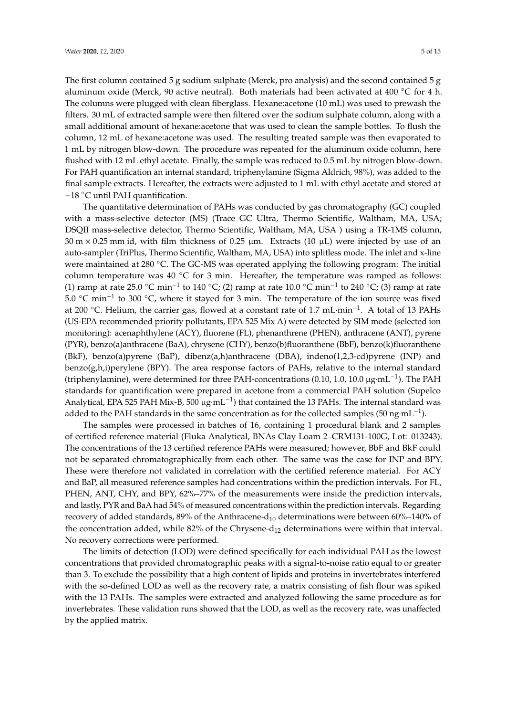The first column contained 5 g sodium sulphate (Merck, pro analysis) and the second contained 5 g aluminum oxide (Merck, 90 active neutral). Both materials had been activated at 400 °C for 4 h. The columns were plugged with clean fiberglass. Hexane:acetone (10 mL) was used to prewash the filters. 30 mL of extracted sample were then filtered over the sodium sulphate column, along with a small additional amount of hexane:acetone that was used to clean the sample bottles. To flush the column, 12 mL of hexane:acetone was used. The resulting treated sample was then evaporated to 1 mL by nitrogen blow-down. The procedure was repeated for the aluminum oxide column, here flushed with 12 mL ethyl acetate. Finally, the sample was reduced to 0.5 mL by nitrogen blow-down. For PAH quantification an internal standard, triphenylamine (Sigma Aldrich, 98%), was added to the final sample extracts. Hereafter, the extracts were adjusted to 1 mL with ethyl acetate and stored at −18 ◦C until PAH quantification.

The quantitative determination of PAHs was conducted by gas chromatography (GC) coupled with a mass-selective detector (MS) (Trace GC Ultra, Thermo Scientific, Waltham, MA, USA; DSQII mass-selective detector, Thermo Scientific, Waltham, MA, USA ) using a TR-1MS column,  $30 \text{ m} \times 0.25 \text{ mm}$  id, with film thickness of 0.25  $\mu$ m. Extracts (10  $\mu$ L) were injected by use of an auto-sampler (TriPlus, Thermo Scientific, Waltham, MA, USA) into splitless mode. The inlet and x-line were maintained at 280 °C. The GC-MS was operated applying the following program: The initial column temperature was 40 °C for 3 min. Hereafter, the temperature was ramped as follows: (1) ramp at rate 25.0 °C min<sup>-1</sup> to 140 °C; (2) ramp at rate 10.0 °C min<sup>-1</sup> to 240 °C; (3) ramp at rate 5.0 ◦C min−<sup>1</sup> to 300 ◦C, where it stayed for 3 min. The temperature of the ion source was fixed at 200 ◦C. Helium, the carrier gas, flowed at a constant rate of 1.7 mL·min−<sup>1</sup> . A total of 13 PAHs (US-EPA recommended priority pollutants, EPA 525 Mix A) were detected by SIM mode (selected ion monitoring): acenaphthylene (ACY), fluorene (FL), phenanthrene (PHEN), anthracene (ANT), pyrene (PYR), benzo(a)anthracene (BaA), chrysene (CHY), benzo(b)fluoranthene (BbF), benzo(k)fluoranthene (BkF), benzo(a)pyrene (BaP), dibenz(a,h)anthracene (DBA), indeno(1,2,3-cd)pyrene (INP) and benzo(g,h,i)perylene (BPY). The area response factors of PAHs, relative to the internal standard (triphenylamine), were determined for three PAH-concentrations (0.10, 1.0, 10.0 µg·mL−<sup>1</sup> ). The PAH standards for quantification were prepared in acetone from a commercial PAH solution (Supelco Analytical, EPA 525 PAH Mix-B, 500 µg·mL<sup>-1</sup>) that contained the 13 PAHs. The internal standard was added to the PAH standards in the same concentration as for the collected samples (50 ng·mL<sup>-1</sup>).

The samples were processed in batches of 16, containing 1 procedural blank and 2 samples of certified reference material (Fluka Analytical, BNAs Clay Loam 2–CRM131-100G, Lot: 013243). The concentrations of the 13 certified reference PAHs were measured; however, BbF and BkF could not be separated chromatographically from each other. The same was the case for INP and BPY. These were therefore not validated in correlation with the certified reference material. For ACY and BaP, all measured reference samples had concentrations within the prediction intervals. For FL, PHEN, ANT, CHY, and BPY, 62%-77% of the measurements were inside the prediction intervals, and lastly, PYR and BaA had 54% of measured concentrations within the prediction intervals. Regarding recovery of added standards, 89% of the Anthracene- $d_{10}$  determinations were between 60%–140% of the concentration added, while  $82\%$  of the Chrysene-d<sub>12</sub> determinations were within that interval. No recovery corrections were performed.

The limits of detection (LOD) were defined specifically for each individual PAH as the lowest concentrations that provided chromatographic peaks with a signal-to-noise ratio equal to or greater than 3. To exclude the possibility that a high content of lipids and proteins in invertebrates interfered with the so-defined LOD as well as the recovery rate, a matrix consisting of fish flour was spiked with the 13 PAHs. The samples were extracted and analyzed following the same procedure as for invertebrates. These validation runs showed that the LOD, as well as the recovery rate, was unaffected by the applied matrix.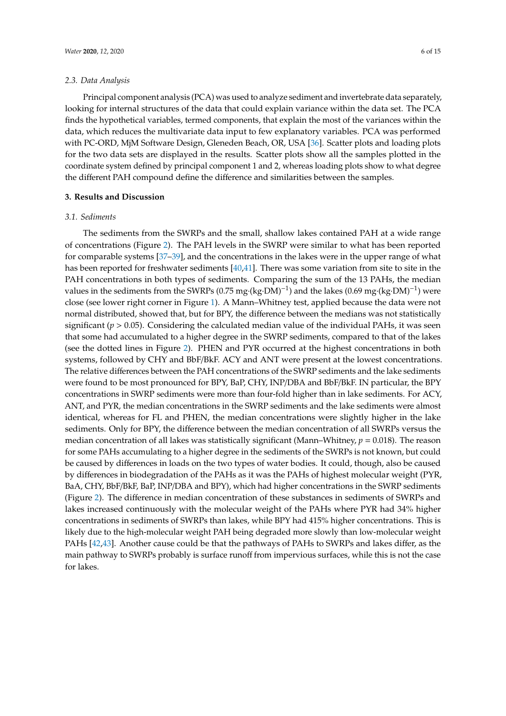Principal component analysis (PCA) was used to analyze sediment and invertebrate data separately, looking for internal structures of the data that could explain variance within the data set. The PCA finds the hypothetical variables, termed components, that explain the most of the variances within the data, which reduces the multivariate data input to few explanatory variables. PCA was performed with PC-ORD, MjM Software Design, Gleneden Beach, OR, USA [\[36\]](#page-14-8). Scatter plots and loading plots for the two data sets are displayed in the results. Scatter plots show all the samples plotted in the coordinate system defined by principal component 1 and 2, whereas loading plots show to what degree the different PAH compound define the difference and similarities between the samples.

# **3. Results and Discussion**

# *3.1. Sediments*

The sediments from the SWRPs and the small, shallow lakes contained PAH at a wide range of concentrations (Figure [2\)](#page-7-0). The PAH levels in the SWRP were similar to what has been reported for comparable systems [\[37](#page-14-9)[–39\]](#page-14-10), and the concentrations in the lakes were in the upper range of what has been reported for freshwater sediments [\[40,](#page-14-11)[41\]](#page-14-12). There was some variation from site to site in the PAH concentrations in both types of sediments. Comparing the sum of the 13 PAHs, the median values in the sediments from the SWRPs (0.75 mg·(kg·DM)<sup>-1</sup>) and the lakes (0.69 mg·(kg·DM)<sup>-1</sup>) were close (see lower right corner in Figure [1\)](#page-3-0). A Mann–Whitney test, applied because the data were not normal distributed, showed that, but for BPY, the difference between the medians was not statistically significant ( $p > 0.05$ ). Considering the calculated median value of the individual PAHs, it was seen that some had accumulated to a higher degree in the SWRP sediments, compared to that of the lakes (see the dotted lines in Figure [2\)](#page-7-0). PHEN and PYR occurred at the highest concentrations in both systems, followed by CHY and BbF/BkF. ACY and ANT were present at the lowest concentrations. The relative differences between the PAH concentrations of the SWRP sediments and the lake sediments were found to be most pronounced for BPY, BaP, CHY, INP/DBA and BbF/BkF. IN particular, the BPY concentrations in SWRP sediments were more than four-fold higher than in lake sediments. For ACY, ANT, and PYR, the median concentrations in the SWRP sediments and the lake sediments were almost identical, whereas for FL and PHEN, the median concentrations were slightly higher in the lake sediments. Only for BPY, the difference between the median concentration of all SWRPs versus the median concentration of all lakes was statistically significant (Mann–Whitney,  $p = 0.018$ ). The reason for some PAHs accumulating to a higher degree in the sediments of the SWRPs is not known, but could be caused by differences in loads on the two types of water bodies. It could, though, also be caused by differences in biodegradation of the PAHs as it was the PAHs of highest molecular weight (PYR, BaA, CHY, BbF/BkF, BaP, INP/DBA and BPY), which had higher concentrations in the SWRP sediments (Figure [2\)](#page-7-0). The difference in median concentration of these substances in sediments of SWRPs and lakes increased continuously with the molecular weight of the PAHs where PYR had 34% higher concentrations in sediments of SWRPs than lakes, while BPY had 415% higher concentrations. This is likely due to the high-molecular weight PAH being degraded more slowly than low-molecular weight PAHs [\[42](#page-14-13)[,43\]](#page-14-14). Another cause could be that the pathways of PAHs to SWRPs and lakes differ, as the main pathway to SWRPs probably is surface runoff from impervious surfaces, while this is not the case for lakes.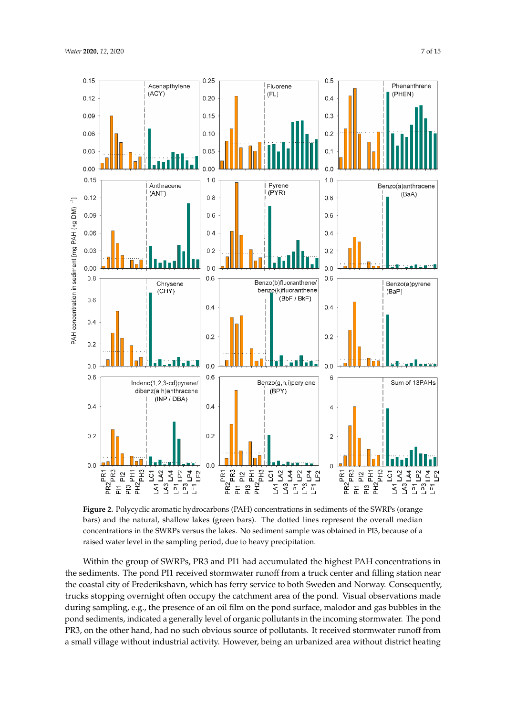<span id="page-7-0"></span>

**Figure 2.** Polycyclic aromatic hydrocarbons (PAH) concentrations in sediments of the SWRPs (orange **Figure 2.** Polycyclic aromatic hydrocarbons (PAH) concentrations in sediments of the SWRPs (orange bars) and the natural, shallow lakes (green bars). The dotted lines represent the overall median bars) and the natural, shallow lakes (green bars). The dotted lines represent the overall median concentrations in the SWRPs versus the lakes. No sediment sample was obtained in PI3, because of a concentrations in the SWRPs versus the lakes. No sediment sample was obtained in PI3, because of a raised water level in the sampling period, due to heavy precipitation. raised water level in the sampling period, due to heavy precipitation.

Within the group of SWRPs, PR3 and PI1 had accumulated the highest PAH concentrations in Within the group of SWRPs, PR3 and PI1 had accumulated the highest PAH concentrations in the sediments. The pond PI1 received stormwater runoff from a truck center and filling station near the sediments. The pond PI1 received stormwater runoff from a truck center and filling station near the coastal city of Frederikshavn, which has ferry service to both Sweden and Norway. Consequently, the coastal city of Frederikshavn, which has ferry service to both Sweden and Norway. Consequently, trucks stopping overnight often occupy the catchment area of the pond. Visual observations made trucks stopping overnight often occupy the catchment area of the pond. Visual observations made during sampling, e.g., the presence of an oil film on the pond surface, malodor and gas bubbles in during sampling, e.g., the presence of an oil film on the pond surface, malodor and gas bubbles in the pond sediments, indicated a generally level of organic pollutants in the incoming stormwater. The pond PR3, on the other hand, had no such obvious source of pollutants. It received stormwater runoff from a small village without industrial activity. However, being an urbanized area without district heating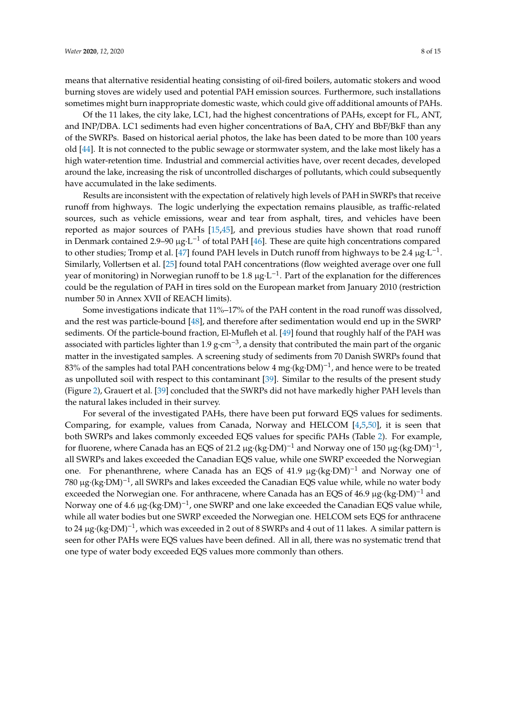means that alternative residential heating consisting of oil-fired boilers, automatic stokers and wood burning stoves are widely used and potential PAH emission sources. Furthermore, such installations sometimes might burn inappropriate domestic waste, which could give off additional amounts of PAHs.

Of the 11 lakes, the city lake, LC1, had the highest concentrations of PAHs, except for FL, ANT, and INP/DBA. LC1 sediments had even higher concentrations of BaA, CHY and BbF/BkF than any of the SWRPs. Based on historical aerial photos, the lake has been dated to be more than 100 years old [\[44\]](#page-14-15). It is not connected to the public sewage or stormwater system, and the lake most likely has a high water-retention time. Industrial and commercial activities have, over recent decades, developed around the lake, increasing the risk of uncontrolled discharges of pollutants, which could subsequently have accumulated in the lake sediments.

Results are inconsistent with the expectation of relatively high levels of PAH in SWRPs that receive runoff from highways. The logic underlying the expectation remains plausible, as traffic-related sources, such as vehicle emissions, wear and tear from asphalt, tires, and vehicles have been reported as major sources of PAHs [\[15](#page-13-21)[,45\]](#page-14-16), and previous studies have shown that road runoff in Denmark contained 2.9–90  $\mu g \cdot L^{-1}$  of total PAH [\[46\]](#page-14-17). These are quite high concentrations compared to other studies; Tromp et al. [\[47\]](#page-15-0) found PAH levels in Dutch runoff from highways to be 2.4  $\mu$ g·L<sup>-1</sup>. Similarly, Vollertsen et al. [\[25\]](#page-13-20) found total PAH concentrations (flow weighted average over one full year of monitoring) in Norwegian runoff to be 1.8  $\mu$ g·L<sup>-1</sup>. Part of the explanation for the differences could be the regulation of PAH in tires sold on the European market from January 2010 (restriction number 50 in Annex XVII of REACH limits).

Some investigations indicate that 11%–17% of the PAH content in the road runoff was dissolved, and the rest was particle-bound [\[48\]](#page-15-1), and therefore after sedimentation would end up in the SWRP sediments. Of the particle-bound fraction, El-Mufleh et al. [\[49\]](#page-15-2) found that roughly half of the PAH was associated with particles lighter than 1.9 g·cm−<sup>3</sup> , a density that contributed the main part of the organic matter in the investigated samples. A screening study of sediments from 70 Danish SWRPs found that 83% of the samples had total PAH concentrations below 4 mg·(kg·DM)<sup>-1</sup>, and hence were to be treated as unpolluted soil with respect to this contaminant [\[39\]](#page-14-10). Similar to the results of the present study (Figure [2\)](#page-7-0), Grauert et al. [\[39\]](#page-14-10) concluded that the SWRPs did not have markedly higher PAH levels than the natural lakes included in their survey.

For several of the investigated PAHs, there have been put forward EQS values for sediments. Comparing, for example, values from Canada, Norway and HELCOM [\[4,](#page-13-0)[5](#page-13-1)[,50\]](#page-15-3), it is seen that both SWRPs and lakes commonly exceeded EQS values for specific PAHs (Table [2\)](#page-9-0). For example, for fluorene, where Canada has an EQS of 21.2 µg·(kg·DM)<sup>-1</sup> and Norway one of 150 µg·(kg·DM)<sup>-1</sup>, all SWRPs and lakes exceeded the Canadian EQS value, while one SWRP exceeded the Norwegian one. For phenanthrene, where Canada has an EQS of 41.9 µg·(kg·DM)<sup>-1</sup> and Norway one of 780 μg·(kg·DM)<sup>-1</sup>, all SWRPs and lakes exceeded the Canadian EQS value while, while no water body exceeded the Norwegian one. For anthracene, where Canada has an EQS of 46.9  $\mu$ g·(kg·DM)<sup>-1</sup> and Norway one of 4.6 μg⋅(kg⋅DM)<sup>-1</sup>, one SWRP and one lake exceeded the Canadian EQS value while, while all water bodies but one SWRP exceeded the Norwegian one. HELCOM sets EQS for anthracene to 24 µg·(kg·DM)−<sup>1</sup> , which was exceeded in 2 out of 8 SWRPs and 4 out of 11 lakes. A similar pattern is seen for other PAHs were EQS values have been defined. All in all, there was no systematic trend that one type of water body exceeded EQS values more commonly than others.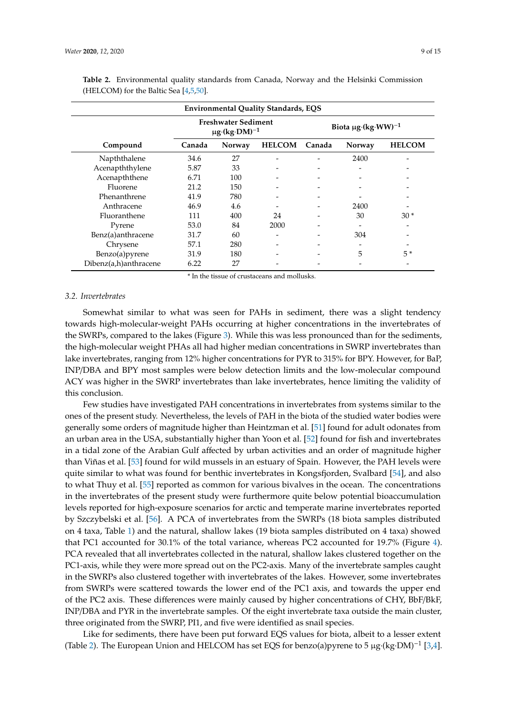| <b>Environmental Quality Standards, EQS</b> |                                                             |        |               |                                     |        |               |  |  |  |  |  |  |
|---------------------------------------------|-------------------------------------------------------------|--------|---------------|-------------------------------------|--------|---------------|--|--|--|--|--|--|
|                                             | <b>Freshwater Sediment</b><br>$\mu$ g·(kg·DM) <sup>-1</sup> |        |               | Biota $\mu$ g·(kg·WW) <sup>-1</sup> |        |               |  |  |  |  |  |  |
| Compound                                    | Canada                                                      | Norway | <b>HELCOM</b> | Canada                              | Norway | <b>HELCOM</b> |  |  |  |  |  |  |
| Napththalene                                | 34.6                                                        | 27     |               |                                     | 2400   |               |  |  |  |  |  |  |
| Acenapththylene                             | 5.87                                                        | 33     |               |                                     |        |               |  |  |  |  |  |  |
| Acenapththene                               | 6.71                                                        | 100    |               |                                     |        |               |  |  |  |  |  |  |
| Fluorene                                    | 21.2                                                        | 150    |               |                                     |        |               |  |  |  |  |  |  |
| Phenanthrene                                | 41.9                                                        | 780    |               |                                     |        |               |  |  |  |  |  |  |
| Anthracene                                  | 46.9                                                        | 4.6    |               |                                     | 2400   |               |  |  |  |  |  |  |
| Fluoranthene                                | 111                                                         | 400    | 24            |                                     | 30     | $30*$         |  |  |  |  |  |  |
| Pyrene                                      | 53.0                                                        | 84     | 2000          |                                     |        |               |  |  |  |  |  |  |
| Benz(a)anthracene                           | 31.7                                                        | 60     |               |                                     | 304    |               |  |  |  |  |  |  |
| Chrysene                                    | 57.1                                                        | 280    |               |                                     |        |               |  |  |  |  |  |  |
| Benzo(a)pyrene                              | 31.9                                                        | 180    |               |                                     | 5      | $5*$          |  |  |  |  |  |  |
| Dibenz(a,h)anthracene                       | 6.22                                                        | 27     |               |                                     |        |               |  |  |  |  |  |  |

<span id="page-9-0"></span>**Table 2.** Environmental quality standards from Canada, Norway and the Helsinki Commission (HELCOM) for the Baltic Sea [\[4](#page-13-0)[,5,](#page-13-1)[50\]](#page-15-3).

\* In the tissue of crustaceans and mollusks.

## *3.2. Invertebrates*

Somewhat similar to what was seen for PAHs in sediment, there was a slight tendency towards high-molecular-weight PAHs occurring at higher concentrations in the invertebrates of the SWRPs, compared to the lakes (Figure [3\)](#page-10-0). While this was less pronounced than for the sediments, the high-molecular weight PHAs all had higher median concentrations in SWRP invertebrates than lake invertebrates, ranging from 12% higher concentrations for PYR to 315% for BPY. However, for BaP, INP/DBA and BPY most samples were below detection limits and the low-molecular compound ACY was higher in the SWRP invertebrates than lake invertebrates, hence limiting the validity of this conclusion.

Few studies have investigated PAH concentrations in invertebrates from systems similar to the ones of the present study. Nevertheless, the levels of PAH in the biota of the studied water bodies were generally some orders of magnitude higher than Heintzman et al. [\[51\]](#page-15-4) found for adult odonates from an urban area in the USA, substantially higher than Yoon et al. [\[52\]](#page-15-5) found for fish and invertebrates in a tidal zone of the Arabian Gulf affected by urban activities and an order of magnitude higher than Viñas et al. [\[53\]](#page-15-6) found for wild mussels in an estuary of Spain. However, the PAH levels were quite similar to what was found for benthic invertebrates in Kongsfjorden, Svalbard [\[54\]](#page-15-7), and also to what Thuy et al. [\[55\]](#page-15-8) reported as common for various bivalves in the ocean. The concentrations in the invertebrates of the present study were furthermore quite below potential bioaccumulation levels reported for high-exposure scenarios for arctic and temperate marine invertebrates reported by Szczybelski et al. [\[56\]](#page-15-9). A PCA of invertebrates from the SWRPs (18 biota samples distributed on 4 taxa, Table [1\)](#page-4-0) and the natural, shallow lakes (19 biota samples distributed on 4 taxa) showed that PC1 accounted for 30.1% of the total variance, whereas PC2 accounted for 19.7% (Figure [4\)](#page-11-0). PCA revealed that all invertebrates collected in the natural, shallow lakes clustered together on the PC1-axis, while they were more spread out on the PC2-axis. Many of the invertebrate samples caught in the SWRPs also clustered together with invertebrates of the lakes. However, some invertebrates from SWRPs were scattered towards the lower end of the PC1 axis, and towards the upper end of the PC2 axis. These differences were mainly caused by higher concentrations of CHY, BbF/BkF, INP/DBA and PYR in the invertebrate samples. Of the eight invertebrate taxa outside the main cluster, three originated from the SWRP, PI1, and five were identified as snail species.

Like for sediments, there have been put forward EQS values for biota, albeit to a lesser extent (Table [2\)](#page-9-0). The European Union and HELCOM has set EQS for benzo(a)pyrene to 5 μg·(kg·DM)<sup>-1</sup> [\[3](#page-12-2)[,4\]](#page-13-0).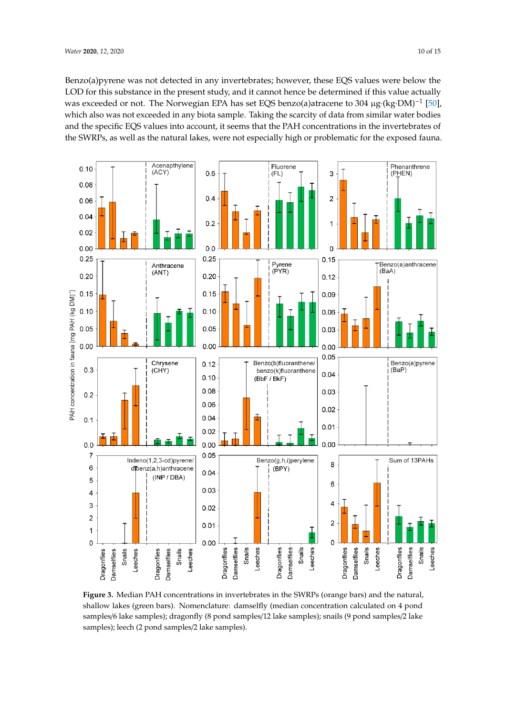Benzo(a)pyrene was not detected in any invertebrates; however, these EQS values were below the LOD for this substance in the present study, and it cannot hence be determined if this value actually was exceeded or not. The Norwegian EPA has set EQS benzo(a)atracene to 304 μg·(kg·DM)<sup>-1</sup> [\[50\]](#page-15-3), which also was not exceeded in any biota sample. Taking the scarcity of data from similar water bodies and the specific EQS values into account, it seems that the PAH concentrations in the invertebrates of the SWRPs, as well as the natural lakes, were not especially high or problematic for the exposed fauna.

<span id="page-10-0"></span>

**Figure 3.** Median PAH concentrations in invertebrates in the SWRPs (orange bars) and the natural, **Figure 3.** Median PAH concentrations in invertebrates in the SWRPs (orange bars) and the natural, shallow lakes (green bars). Nomenclature: damselfly (median concentration calculated on 4 pond shallow lakes (green bars). Nomenclature: damselfly (median concentration calculated on 4 pond samples/6 lake samples); dragonfly (8 pond samples/12 lake samples); snails (9 pond samples/2 lake samples/6 lake samples); dragonfly (8 pond samples/12 lake samples); snails (9 pond samples/2 lake samples); leech (2 pond samples/2 lake samples). samples); leech (2 pond samples/2 lake samples).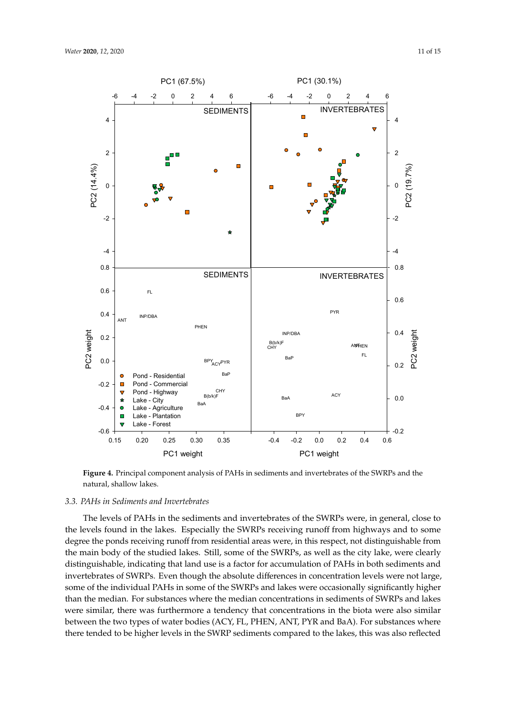<span id="page-11-0"></span>

**Figure 4. Principal component and invertebrates of the SWRPS and the SWRPS and the SWRPS and the SWRPS and the SWRPS and the SWRPS and the SWRPS and the SWRPS and the SWRPS and the SWRPS and the SWRPS and the SWRPS and Figure 4.** Principal component analysis of PAHs in sediments and invertebrates of the SWRPs and the

# natural, shallow lakes. *3.3. PAHs in Sediments and Invertebrates*

The levels of PAHs in the sediments and invertebrates of the SWRPs were, in general, close to the levels found in the lakes. Especially the SWRPs receiving runoff from highways and to some degree the ponds receiving runoff from residential areas were, in this respect, not distinguishable from the main body of the studied lakes. Still, some of the SWRPs, as well as the city lake, were clearly distinguishable, indicating that land use is a factor for accumulation of PAHs in both sediments and invertebrates of SWRPs. Even though the absolute differences in concentration levels were not large, some of the individual PAHs in some of the SWRPs and lakes were occasionally significantly higher than the median. For substances where the median concentrations in sediments of SWRPs and lakes were similar, there was furthermore a tendency that concentrations in the biota were also similar between the two types of water bodies (ACY, FL, PHEN, ANT, PYR and BaA). For substances where there tended to be higher levels in the SWRP sediments compared to the lakes, this was also reflected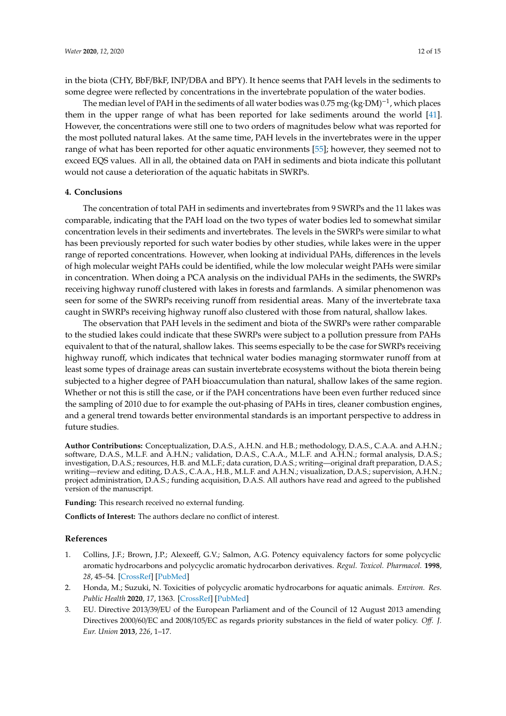in the biota (CHY, BbF/BkF, INP/DBA and BPY). It hence seems that PAH levels in the sediments to some degree were reflected by concentrations in the invertebrate population of the water bodies.

The median level of PAH in the sediments of all water bodies was 0.75 mg·(kg·DM)<sup>-1</sup>, which places them in the upper range of what has been reported for lake sediments around the world [\[41\]](#page-14-12). However, the concentrations were still one to two orders of magnitudes below what was reported for the most polluted natural lakes. At the same time, PAH levels in the invertebrates were in the upper range of what has been reported for other aquatic environments [\[55\]](#page-15-8); however, they seemed not to exceed EQS values. All in all, the obtained data on PAH in sediments and biota indicate this pollutant would not cause a deterioration of the aquatic habitats in SWRPs.

# **4. Conclusions**

The concentration of total PAH in sediments and invertebrates from 9 SWRPs and the 11 lakes was comparable, indicating that the PAH load on the two types of water bodies led to somewhat similar concentration levels in their sediments and invertebrates. The levels in the SWRPs were similar to what has been previously reported for such water bodies by other studies, while lakes were in the upper range of reported concentrations. However, when looking at individual PAHs, differences in the levels of high molecular weight PAHs could be identified, while the low molecular weight PAHs were similar in concentration. When doing a PCA analysis on the individual PAHs in the sediments, the SWRPs receiving highway runoff clustered with lakes in forests and farmlands. A similar phenomenon was seen for some of the SWRPs receiving runoff from residential areas. Many of the invertebrate taxa caught in SWRPs receiving highway runoff also clustered with those from natural, shallow lakes.

The observation that PAH levels in the sediment and biota of the SWRPs were rather comparable to the studied lakes could indicate that these SWRPs were subject to a pollution pressure from PAHs equivalent to that of the natural, shallow lakes. This seems especially to be the case for SWRPs receiving highway runoff, which indicates that technical water bodies managing stormwater runoff from at least some types of drainage areas can sustain invertebrate ecosystems without the biota therein being subjected to a higher degree of PAH bioaccumulation than natural, shallow lakes of the same region. Whether or not this is still the case, or if the PAH concentrations have been even further reduced since the sampling of 2010 due to for example the out-phasing of PAHs in tires, cleaner combustion engines, and a general trend towards better environmental standards is an important perspective to address in future studies.

**Author Contributions:** Conceptualization, D.A.S., A.H.N. and H.B.; methodology, D.A.S., C.A.A. and A.H.N.; software, D.A.S., M.L.F. and A.H.N.; validation, D.A.S., C.A.A., M.L.F. and A.H.N.; formal analysis, D.A.S.; investigation, D.A.S.; resources, H.B. and M.L.F.; data curation, D.A.S.; writing—original draft preparation, D.A.S.; writing—review and editing, D.A.S., C.A.A., H.B., M.L.F. and A.H.N.; visualization, D.A.S.; supervision, A.H.N.; project administration, D.A.S.; funding acquisition, D.A.S. All authors have read and agreed to the published version of the manuscript.

**Funding:** This research received no external funding.

**Conflicts of Interest:** The authors declare no conflict of interest.

### **References**

- <span id="page-12-0"></span>1. Collins, J.F.; Brown, J.P.; Alexeeff, G.V.; Salmon, A.G. Potency equivalency factors for some polycyclic aromatic hydrocarbons and polycyclic aromatic hydrocarbon derivatives. *Regul. Toxicol. Pharmacol.* **1998**, *28*, 45–54. [\[CrossRef\]](http://dx.doi.org/10.1006/rtph.1998.1235) [\[PubMed\]](http://www.ncbi.nlm.nih.gov/pubmed/9784432)
- <span id="page-12-1"></span>2. Honda, M.; Suzuki, N. Toxicities of polycyclic aromatic hydrocarbons for aquatic animals. *Environ. Res. Public Health* **2020**, *17*, 1363. [\[CrossRef\]](http://dx.doi.org/10.3390/ijerph17041363) [\[PubMed\]](http://www.ncbi.nlm.nih.gov/pubmed/32093224)
- <span id="page-12-2"></span>3. EU. Directive 2013/39/EU of the European Parliament and of the Council of 12 August 2013 amending Directives 2000/60/EC and 2008/105/EC as regards priority substances in the field of water policy. *O*ff*. J. Eur. Union* **2013**, *226*, 1–17.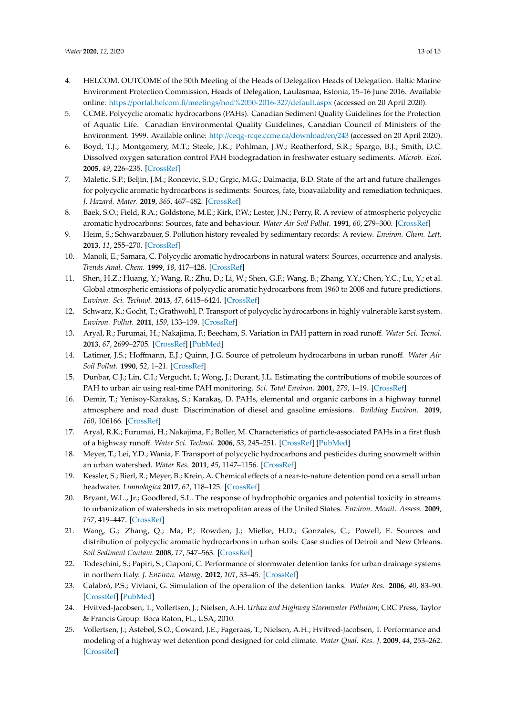- <span id="page-13-0"></span>4. HELCOM. OUTCOME of the 50th Meeting of the Heads of Delegation Heads of Delegation. Baltic Marine Environment Protection Commission, Heads of Delegation, Laulasmaa, Estonia, 15–16 June 2016. Available online: https://portal.helcom.fi/meetings/[hod%2050-2016-327](https://portal.helcom.fi/meetings/hod%2050-2016-327/default.aspx)/default.aspx (accessed on 20 April 2020).
- <span id="page-13-1"></span>5. CCME. Polycyclic aromatic hydrocarbons (PAHs). Canadian Sediment Quality Guidelines for the Protection of Aquatic Life. Canadian Environmental Quality Guidelines, Canadian Council of Ministers of the Environment. 1999. Available online: http://[ceqg-rcqe.ccme.ca](http://ceqg-rcqe.ccme.ca/download/en/243)/download/en/243 (accessed on 20 April 2020).
- <span id="page-13-2"></span>6. Boyd, T.J.; Montgomery, M.T.; Steele, J.K.; Pohlman, J.W.; Reatherford, S.R.; Spargo, B.J.; Smith, D.C. Dissolved oxygen saturation control PAH biodegradation in freshwater estuary sediments. *Microb. Ecol.* **2005**, *49*, 226–235. [\[CrossRef\]](http://dx.doi.org/10.1007/s00248-004-0279-0)
- <span id="page-13-3"></span>7. Maletic, S.P.; Beljin, J.M.; Roncevic, S.D.; Grgic, M.G.; Dalmacija, B.D. State of the art and future challenges for polycyclic aromatic hydrocarbons is sediments: Sources, fate, bioavailability and remediation techniques. *J. Hazard. Mater.* **2019**, *365*, 467–482. [\[CrossRef\]](http://dx.doi.org/10.1016/j.jhazmat.2018.11.020)
- <span id="page-13-4"></span>8. Baek, S.O.; Field, R.A.; Goldstone, M.E.; Kirk, P.W.; Lester, J.N.; Perry, R. A review of atmospheric polycyclic aromatic hydrocarbons: Sources, fate and behaviour. *Water Air Soil Pollut.* **1991**, *60*, 279–300. [\[CrossRef\]](http://dx.doi.org/10.1007/BF00282628)
- <span id="page-13-5"></span>9. Heim, S.; Schwarzbauer, S. Pollution history revealed by sedimentary records: A review. *Environ. Chem. Lett.* **2013**, *11*, 255–270. [\[CrossRef\]](http://dx.doi.org/10.1007/s10311-013-0409-3)
- <span id="page-13-6"></span>10. Manoli, E.; Samara, C. Polycyclic aromatic hydrocarbons in natural waters: Sources, occurrence and analysis. *Trends Anal. Chem.* **1999**, *18*, 417–428. [\[CrossRef\]](http://dx.doi.org/10.1016/S0165-9936(99)00111-9)
- <span id="page-13-7"></span>11. Shen, H.Z.; Huang, Y.; Wang, R.; Zhu, D.; Li, W.; Shen, G.F.; Wang, B.; Zhang, Y.Y.; Chen, Y.C.; Lu, Y.; et al. Global atmospheric emissions of polycyclic aromatic hydrocarbons from 1960 to 2008 and future predictions. *Environ. Sci. Technol.* **2013**, *47*, 6415–6424. [\[CrossRef\]](http://dx.doi.org/10.1021/es400857z)
- <span id="page-13-8"></span>12. Schwarz, K.; Gocht, T.; Grathwohl, P. Transport of polycyclic hydrocarbons in highly vulnerable karst system. *Environ. Pollut.* **2011**, *159*, 133–139. [\[CrossRef\]](http://dx.doi.org/10.1016/j.envpol.2010.09.026)
- <span id="page-13-9"></span>13. Aryal, R.; Furumai, H.; Nakajima, F.; Beecham, S. Variation in PAH pattern in road runoff. *Water Sci. Tecnol.* **2013**, *67*, 2699–2705. [\[CrossRef\]](http://dx.doi.org/10.2166/wst.2013.172) [\[PubMed\]](http://www.ncbi.nlm.nih.gov/pubmed/23787306)
- <span id="page-13-10"></span>14. Latimer, J.S.; Hoffmann, E.J.; Quinn, J.G. Source of petroleum hydrocarbons in urban runoff. *Water Air Soil Pollut.* **1990**, *52*, 1–21. [\[CrossRef\]](http://dx.doi.org/10.1007/BF00283111)
- <span id="page-13-21"></span>15. Dunbar, C.J.; Lin, C.I.; Vergucht, I.; Wong, J.; Durant, J.L. Estimating the contributions of mobile sources of PAH to urban air using real-time PAH monitoring. *Sci. Total Environ.* **2001**, *279*, 1–19. [\[CrossRef\]](http://dx.doi.org/10.1016/S0048-9697(01)00686-6)
- <span id="page-13-11"></span>16. Demir, T.; Yenisoy-Karakaş, S.; Karakaş, D. PAHs, elemental and organic carbons in a highway tunnel atmosphere and road dust: Discrimination of diesel and gasoline emissions. *Building Environ.* **2019**, *160*, 106166. [\[CrossRef\]](http://dx.doi.org/10.1016/j.buildenv.2019.106166)
- <span id="page-13-12"></span>17. Aryal, R.K.; Furumai, H.; Nakajima, F.; Boller, M. Characteristics of particle-associated PAHs in a first flush of a highway runoff. *Water Sci. Technol.* **2006**, *53*, 245–251. [\[CrossRef\]](http://dx.doi.org/10.2166/wst.2006.058) [\[PubMed\]](http://www.ncbi.nlm.nih.gov/pubmed/16594343)
- <span id="page-13-13"></span>18. Meyer, T.; Lei, Y.D.; Wania, F. Transport of polycyclic hydrocarbons and pesticides during snowmelt within an urban watershed. *Water Res.* **2011**, *45*, 1147–1156. [\[CrossRef\]](http://dx.doi.org/10.1016/j.watres.2010.11.004)
- <span id="page-13-14"></span>19. Kessler, S.; Bierl, R.; Meyer, B.; Krein, A. Chemical effects of a near-to-nature detention pond on a small urban headwater. *Limnologica* **2017**, *62*, 118–125. [\[CrossRef\]](http://dx.doi.org/10.1016/j.limno.2016.11.006)
- <span id="page-13-15"></span>20. Bryant, W.L., Jr.; Goodbred, S.L. The response of hydrophobic organics and potential toxicity in streams to urbanization of watersheds in six metropolitan areas of the United States. *Environ. Monit. Assess.* **2009**, *157*, 419–447. [\[CrossRef\]](http://dx.doi.org/10.1007/s10661-008-0546-5)
- <span id="page-13-16"></span>21. Wang, G.; Zhang, Q.; Ma, P.; Rowden, J.; Mielke, H.D.; Gonzales, C.; Powell, E. Sources and distribution of polycyclic aromatic hydrocarbons in urban soils: Case studies of Detroit and New Orleans. *Soil Sediment Contam.* **2008**, *17*, 547–563. [\[CrossRef\]](http://dx.doi.org/10.1080/15320380802425055)
- <span id="page-13-17"></span>22. Todeschini, S.; Papiri, S.; Ciaponi, C. Performance of stormwater detention tanks for urban drainage systems in northern Italy. *J. Environ. Manag.* **2012**, *101*, 33–45. [\[CrossRef\]](http://dx.doi.org/10.1016/j.jenvman.2012.02.003)
- <span id="page-13-18"></span>23. Calabró, P.S.; Viviani, G. Simulation of the operation of the detention tanks. *Water Res.* **2006**, *40*, 83–90. [\[CrossRef\]](http://dx.doi.org/10.1016/j.watres.2005.10.025) [\[PubMed\]](http://www.ncbi.nlm.nih.gov/pubmed/16343586)
- <span id="page-13-19"></span>24. Hvitved-Jacobsen, T.; Vollertsen, J.; Nielsen, A.H. *Urban and Highway Stormwater Pollution*; CRC Press, Taylor & Francis Group: Boca Raton, FL, USA, 2010.
- <span id="page-13-20"></span>25. Vollertsen, J.; Åstebøl, S.O.; Coward, J.E.; Fageraas, T.; Nielsen, A.H.; Hvitved-Jacobsen, T. Performance and modeling of a highway wet detention pond designed for cold climate. *Water Qual. Res. J.* **2009**, *44*, 253–262. [\[CrossRef\]](http://dx.doi.org/10.2166/wqrj.2009.027)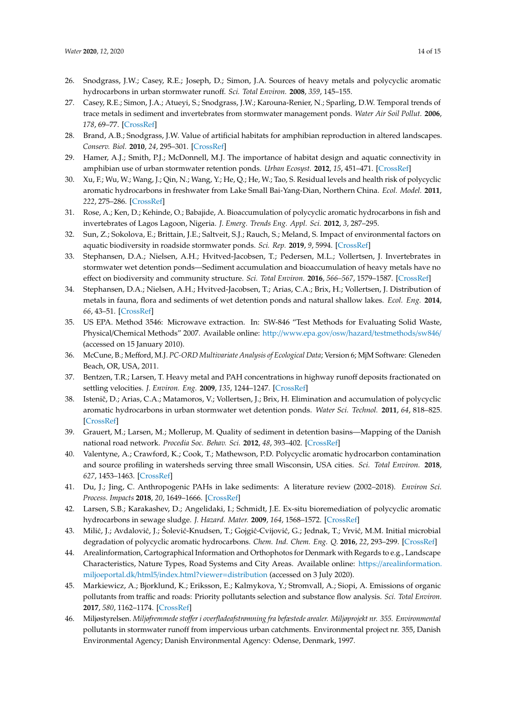- <span id="page-14-0"></span>26. Snodgrass, J.W.; Casey, R.E.; Joseph, D.; Simon, J.A. Sources of heavy metals and polycyclic aromatic hydrocarbons in urban stormwater runoff. *Sci. Total Environ.* **2008**, *359*, 145–155.
- <span id="page-14-1"></span>27. Casey, R.E.; Simon, J.A.; Atueyi, S.; Snodgrass, J.W.; Karouna-Renier, N.; Sparling, D.W. Temporal trends of trace metals in sediment and invertebrates from stormwater management ponds. *Water Air Soil Pollut.* **2006**, *178*, 69–77. [\[CrossRef\]](http://dx.doi.org/10.1007/s11270-006-9132-z)
- 28. Brand, A.B.; Snodgrass, J.W. Value of artificial habitats for amphibian reproduction in altered landscapes. *Conserv. Biol.* **2010**, *24*, 295–301. [\[CrossRef\]](http://dx.doi.org/10.1111/j.1523-1739.2009.01301.x)
- <span id="page-14-2"></span>29. Hamer, A.J.; Smith, P.J.; McDonnell, M.J. The importance of habitat design and aquatic connectivity in amphibian use of urban stormwater retention ponds. *Urban Ecosyst.* **2012**, *15*, 451–471. [\[CrossRef\]](http://dx.doi.org/10.1007/s11252-011-0212-5)
- <span id="page-14-3"></span>30. Xu, F.; Wu, W.; Wang, J.; Qin, N.; Wang, Y.; He, Q.; He, W.; Tao, S. Residual levels and health risk of polycyclic aromatic hydrocarbons in freshwater from Lake Small Bai-Yang-Dian, Northern China. *Ecol. Model.* **2011**, *222*, 275–286. [\[CrossRef\]](http://dx.doi.org/10.1016/j.ecolmodel.2010.10.001)
- 31. Rose, A.; Ken, D.; Kehinde, O.; Babajide, A. Bioaccumulation of polycyclic aromatic hydrocarbons in fish and invertebrates of Lagos Lagoon, Nigeria. *J. Emerg. Trends Eng. Appl. Sci.* **2012**, *3*, 287–295.
- <span id="page-14-4"></span>32. Sun, Z.; Sokolova, E.; Brittain, J.E.; Saltveit, S.J.; Rauch, S.; Meland, S. Impact of environmental factors on aquatic biodiversity in roadside stormwater ponds. *Sci. Rep.* **2019**, *9*, 5994. [\[CrossRef\]](http://dx.doi.org/10.1038/s41598-019-42497-z)
- <span id="page-14-5"></span>33. Stephansen, D.A.; Nielsen, A.H.; Hvitved-Jacobsen, T.; Pedersen, M.L.; Vollertsen, J. Invertebrates in stormwater wet detention ponds—Sediment accumulation and bioaccumulation of heavy metals have no effect on biodiversity and community structure. *Sci. Total Environ.* **2016**, *566–567*, 1579–1587. [\[CrossRef\]](http://dx.doi.org/10.1016/j.scitotenv.2016.06.050)
- <span id="page-14-6"></span>34. Stephansen, D.A.; Nielsen, A.H.; Hvitved-Jacobsen, T.; Arias, C.A.; Brix, H.; Vollertsen, J. Distribution of metals in fauna, flora and sediments of wet detention ponds and natural shallow lakes. *Ecol. Eng.* **2014**, *66*, 43–51. [\[CrossRef\]](http://dx.doi.org/10.1016/j.ecoleng.2013.05.007)
- <span id="page-14-7"></span>35. US EPA. Method 3546: Microwave extraction. In: SW-846 "Test Methods for Evaluating Solid Waste, Physical/Chemical Methods" 2007. Available online: http://[www.epa.gov](http://www.epa.gov/osw/hazard/testmethods/sw846/)/osw/hazard/testmethods/sw846/ (accessed on 15 January 2010).
- <span id="page-14-8"></span>36. McCune, B.; Mefford, M.J. *PC-ORD Multivariate Analysis of Ecological Data*; Version 6; MjM Software: Gleneden Beach, OR, USA, 2011.
- <span id="page-14-9"></span>37. Bentzen, T.R.; Larsen, T. Heavy metal and PAH concentrations in highway runoff deposits fractionated on settling velocities. *J. Environ. Eng.* **2009**, *135*, 1244–1247. [\[CrossRef\]](http://dx.doi.org/10.1061/(ASCE)EE.1943-7870.0000087)
- 38. Istenič, D.; Arias, C.A.; Matamoros, V.; Vollertsen, J.; Brix, H. Elimination and accumulation of polycyclic aromatic hydrocarbons in urban stormwater wet detention ponds. *Water Sci. Technol.* **2011**, *64*, 818–825. [\[CrossRef\]](http://dx.doi.org/10.2166/wst.2011.525)
- <span id="page-14-10"></span>39. Grauert, M.; Larsen, M.; Mollerup, M. Quality of sediment in detention basins—Mapping of the Danish national road network. *Procedia Soc. Behav. Sci.* **2012**, *48*, 393–402. [\[CrossRef\]](http://dx.doi.org/10.1016/j.sbspro.2012.06.1019)
- <span id="page-14-11"></span>40. Valentyne, A.; Crawford, K.; Cook, T.; Mathewson, P.D. Polycyclic aromatic hydrocarbon contamination and source profiling in watersheds serving three small Wisconsin, USA cities. *Sci. Total Environ.* **2018**, *627*, 1453–1463. [\[CrossRef\]](http://dx.doi.org/10.1016/j.scitotenv.2018.01.200)
- <span id="page-14-12"></span>41. Du, J.; Jing, C. Anthropogenic PAHs in lake sediments: A literature review (2002–2018). *Environ Sci. Process. Impacts* **2018**, *20*, 1649–1666. [\[CrossRef\]](http://dx.doi.org/10.1039/C8EM00195B)
- <span id="page-14-13"></span>42. Larsen, S.B.; Karakashev, D.; Angelidaki, I.; Schmidt, J.E. Ex-situ bioremediation of polycyclic aromatic hydrocarbons in sewage sludge. *J. Hazard. Mater.* **2009**, *164*, 1568–1572. [\[CrossRef\]](http://dx.doi.org/10.1016/j.jhazmat.2008.08.067)
- <span id="page-14-14"></span>43. Milić, J.; Avdalović, J.; Šolević-Knudsen, T.; Gojgić-Cvijović, G.; Jednak, T.; Vrvić, M.M. Initial microbial degradation of polycyclic aromatic hydrocarbons. *Chem. Ind. Chem. Eng. Q.* **2016**, *22*, 293–299. [\[CrossRef\]](http://dx.doi.org/10.2298/CICEQ150606043M)
- <span id="page-14-15"></span>44. Arealinformation, Cartographical Information and Orthophotos for Denmark with Regards to e.g., Landscape Characteristics, Nature Types, Road Systems and City Areas. Available online: https://[arealinformation.](https://arealinformation.miljoeportal.dk/html5/index.html?viewer=distribution) miljoeportal.dk/html5/[index.html?viewer](https://arealinformation.miljoeportal.dk/html5/index.html?viewer=distribution)=distribution (accessed on 3 July 2020).
- <span id="page-14-16"></span>45. Markiewicz, A.; Bjorklund, K.; Eriksson, E.; Kalmykova, Y.; Stromvall, A.; Siopi, A. Emissions of organic pollutants from traffic and roads: Priority pollutants selection and substance flow analysis. *Sci. Total Environ.* **2017**, *580*, 1162–1174. [\[CrossRef\]](http://dx.doi.org/10.1016/j.scitotenv.2016.12.074)
- <span id="page-14-17"></span>46. Miljøstyrelsen. *Miljøfremmede stoffer i overfladeafstrømning fra befæstede arealer. Miljøprojekt nr. 355. Environmental* pollutants in stormwater runoff from impervious urban catchments. Environmental project nr. 355, Danish Environmental Agency; Danish Environmental Agency: Odense, Denmark, 1997.